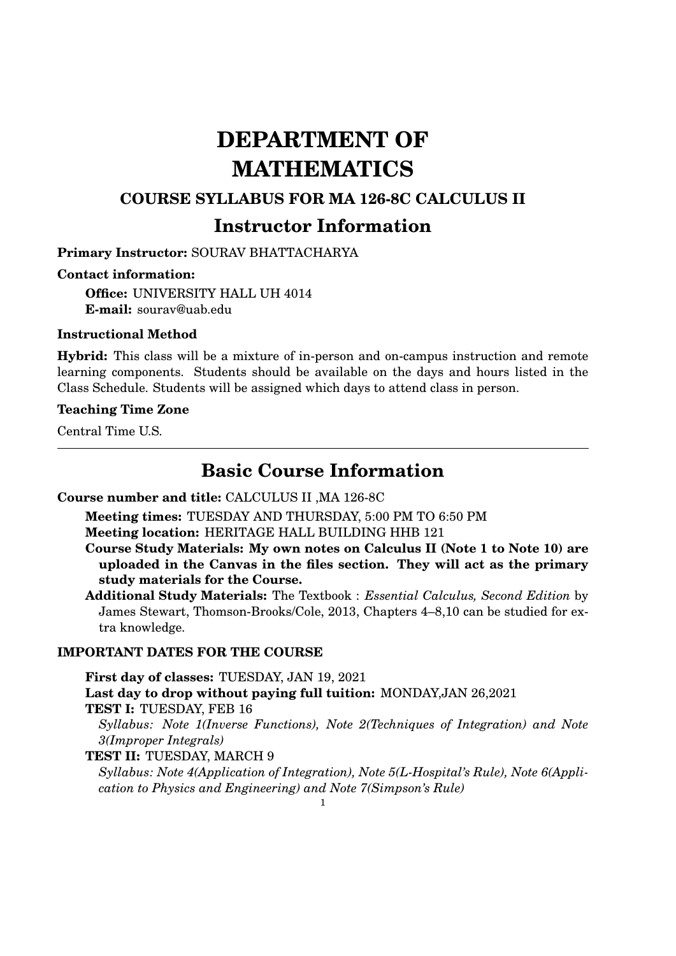# **DEPARTMENT OF MATHEMATICS**

### **COURSE SYLLABUS FOR MA 126-8C CALCULUS II**

## **Instructor Information**

**Primary Instructor:** SOURAV BHATTACHARYA

#### **Contact information:**

**Office:** UNIVERSITY HALL UH 4014 **E-mail:** sourav@uab.edu

#### **Instructional Method**

**Hybrid:** This class will be a mixture of in-person and on-campus instruction and remote learning components. Students should be available on the days and hours listed in the Class Schedule. Students will be assigned which days to attend class in person.

#### **Teaching Time Zone**

Central Time U.S.

## **Basic Course Information**

#### **Course number and title:** CALCULUS II ,MA 126-8C

**Meeting times:** TUESDAY AND THURSDAY, 5:00 PM TO 6:50 PM

**Meeting location:** HERITAGE HALL BUILDING HHB 121

**Course Study Materials: My own notes on Calculus II (Note 1 to Note 10) are uploaded in the Canvas in the files section. They will act as the primary study materials for the Course.**

**Additional Study Materials:** The Textbook : *Essential Calculus, Second Edition* by James Stewart, Thomson-Brooks/Cole, 2013, Chapters 4–8,10 can be studied for extra knowledge.

#### **IMPORTANT DATES FOR THE COURSE**

**First day of classes:** TUESDAY, JAN 19, 2021 **Last day to drop without paying full tuition:** MONDAY,JAN 26,2021 **TEST I:** TUESDAY, FEB 16 *Syllabus: Note 1(Inverse Functions), Note 2(Techniques of Integration) and Note 3(Improper Integrals)* **TEST II:** TUESDAY, MARCH 9

*Syllabus: Note 4(Application of Integration), Note 5(L-Hospital's Rule), Note 6(Application to Physics and Engineering) and Note 7(Simpson's Rule)*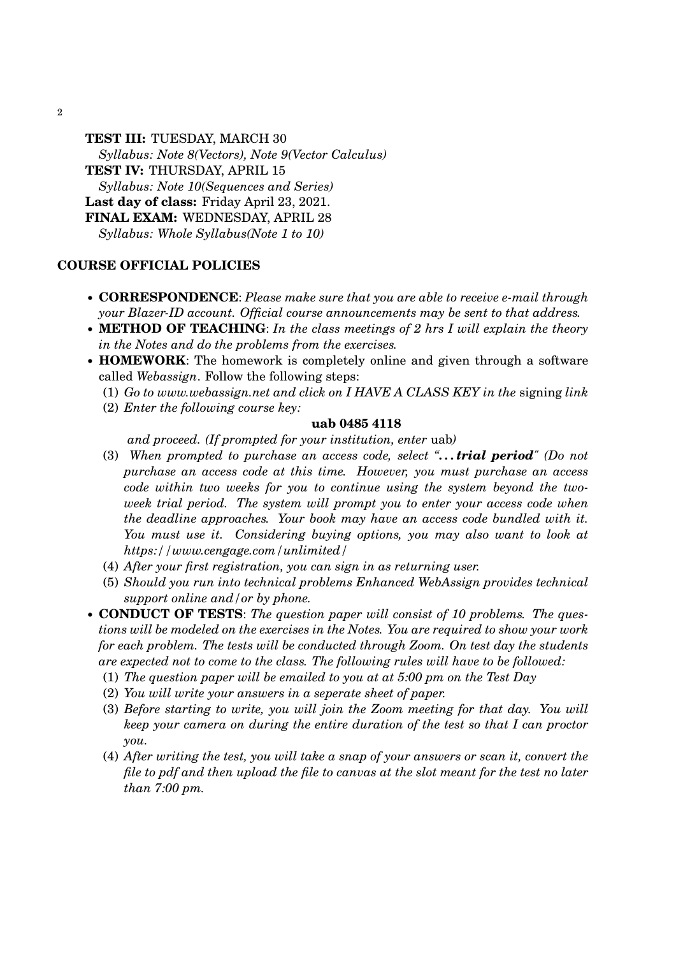2

**TEST III:** TUESDAY, MARCH 30 *Syllabus: Note 8(Vectors), Note 9(Vector Calculus)* **TEST IV:** THURSDAY, APRIL 15 *Syllabus: Note 10(Sequences and Series)* **Last day of class:** Friday April 23, 2021. **FINAL EXAM:** WEDNESDAY, APRIL 28 *Syllabus: Whole Syllabus(Note 1 to 10)*

#### **COURSE OFFICIAL POLICIES**

- **CORRESPONDENCE**: *Please make sure that you are able to receive e-mail through your Blazer-ID account. Official course announcements may be sent to that address.*
- **METHOD OF TEACHING**: *In the class meetings of 2 hrs I will explain the theory in the Notes and do the problems from the exercises.*
- **HOMEWORK**: The homework is completely online and given through a software called *Webassign*. Follow the following steps:
	- (1) *Go to www.webassign.net and click on I HAVE A CLASS KEY in the* signing *link*
	- (2) *Enter the following course key:*

#### **uab 0485 4118**

*and proceed. (If prompted for your institution, enter* uab*)*

- (3) *When prompted to purchase an access code, select ". . . trial period" (Do not purchase an access code at this time. However, you must purchase an access code within two weeks for you to continue using the system beyond the twoweek trial period. The system will prompt you to enter your access code when the deadline approaches. Your book may have an access code bundled with it. You must use it. Considering buying options, you may also want to look at https://www.cengage.com/unlimited/*
- (4) *After your first registration, you can sign in as returning user.*
- (5) *Should you run into technical problems Enhanced WebAssign provides technical support online and/or by phone.*
- **CONDUCT OF TESTS**: *The question paper will consist of 10 problems. The questions will be modeled on the exercises in the Notes. You are required to show your work for each problem. The tests will be conducted through Zoom. On test day the students are expected not to come to the class. The following rules will have to be followed:*
	- (1) *The question paper will be emailed to you at at 5:00 pm on the Test Day*
	- (2) *You will write your answers in a seperate sheet of paper.*
	- (3) *Before starting to write, you will join the Zoom meeting for that day. You will keep your camera on during the entire duration of the test so that I can proctor you.*
	- (4) *After writing the test, you will take a snap of your answers or scan it, convert the file to pdf and then upload the file to canvas at the slot meant for the test no later than 7:00 pm.*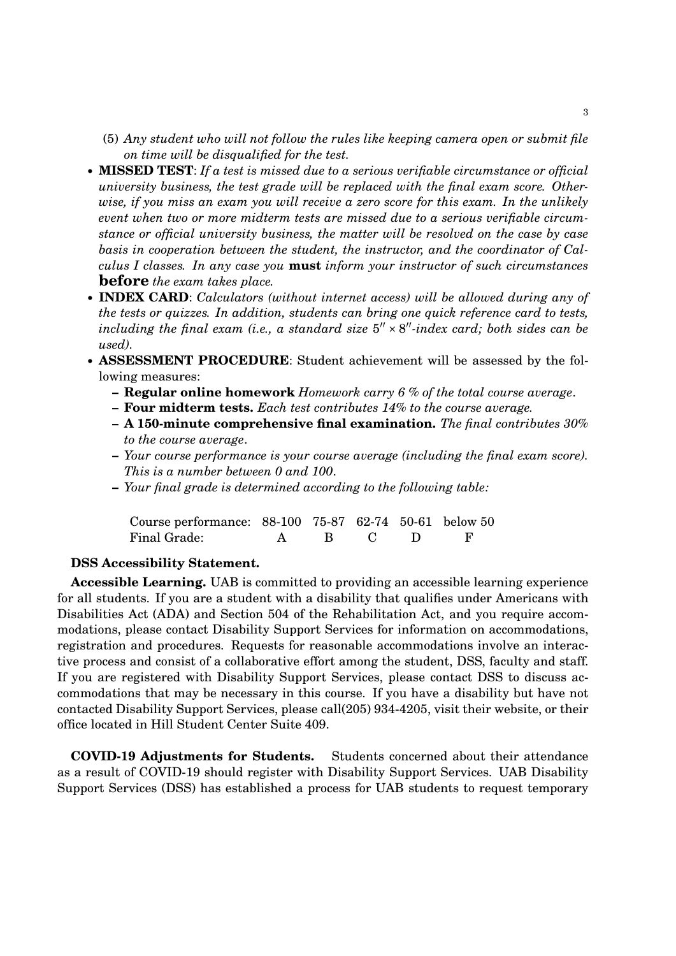- (5) *Any student who will not follow the rules like keeping camera open or submit file on time will be disqualified for the test.*
- **MISSED TEST**: *If a test is missed due to a serious verifiable circumstance or official university business, the test grade will be replaced with the final exam score. Otherwise, if you miss an exam you will receive a zero score for this exam. In the unlikely event when two or more midterm tests are missed due to a serious verifiable circumstance or official university business, the matter will be resolved on the case by case basis in cooperation between the student, the instructor, and the coordinator of Calculus I classes. In any case you* **must** *inform your instructor of such circumstances* **before** *the exam takes place.*
- **INDEX CARD**: *Calculators (without internet access) will be allowed during any of the tests or quizzes. In addition, students can bring one quick reference card to tests,* including the final exam (i.e., a standard size  $5'' \times 8''$ -index card; both sides can be *used).*
- **ASSESSMENT PROCEDURE**: Student achievement will be assessed by the following measures:
	- **Regular online homework** *Homework carry 6 % of the total course average*.
	- **Four midterm tests.** *Each test contributes 14% to the course average.*
	- **A 150-minute comprehensive final examination.** *The final contributes 30% to the course average*.
	- **–** *Your course performance is your course average (including the final exam score). This is a number between 0 and 100*.
	- **–** *Your final grade is determined according to the following table:*

| Course performance: 88-100 75-87 62-74 50-61 below 50 |  |  |  |
|-------------------------------------------------------|--|--|--|
| Final Grade:                                          |  |  |  |

#### **DSS Accessibility Statement.**

**Accessible Learning.** UAB is committed to providing an accessible learning experience for all students. If you are a student with a disability that qualifies under Americans with Disabilities Act (ADA) and Section 504 of the Rehabilitation Act, and you require accommodations, please contact Disability Support Services for information on accommodations, registration and procedures. Requests for reasonable accommodations involve an interactive process and consist of a collaborative effort among the student, DSS, faculty and staff. If you are registered with Disability Support Services, please contact DSS to discuss accommodations that may be necessary in this course. If you have a disability but have not contacted Disability Support Services, please call(205) 934-4205, visit their website, or their office located in Hill Student Center Suite 409.

**COVID-19 Adjustments for Students.** Students concerned about their attendance as a result of COVID-19 should register with Disability Support Services. UAB Disability Support Services (DSS) has established a process for UAB students to request temporary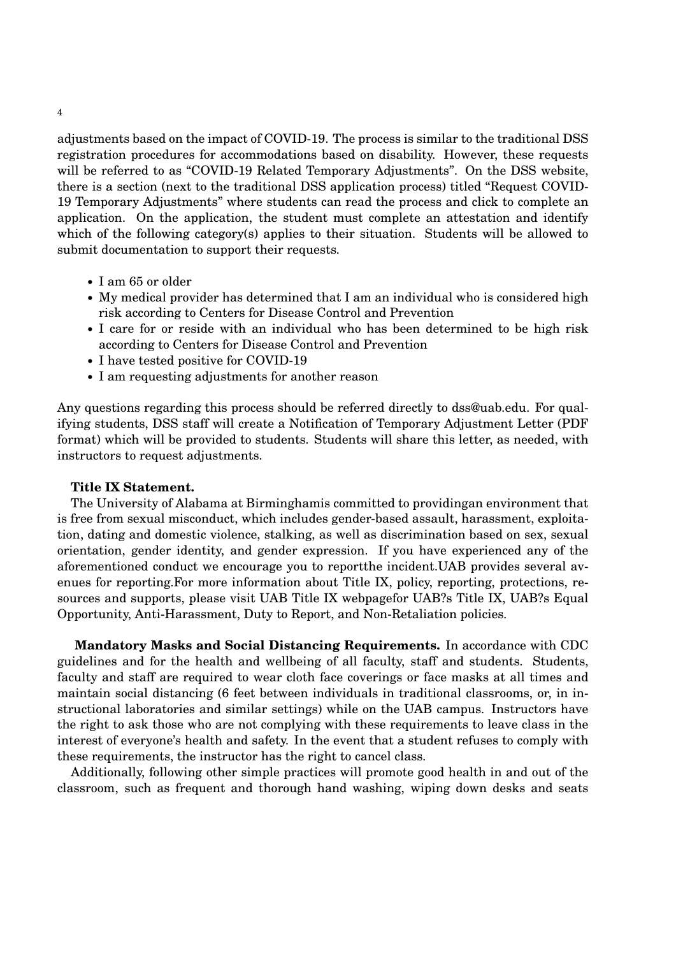adjustments based on the impact of COVID-19. The process is similar to the traditional DSS registration procedures for accommodations based on disability. However, these requests will be referred to as "COVID-19 Related Temporary Adjustments". On the DSS website, there is a section (next to the traditional DSS application process) titled "Request COVID-19 Temporary Adjustments" where students can read the process and click to complete an application. On the application, the student must complete an attestation and identify which of the following category(s) applies to their situation. Students will be allowed to submit documentation to support their requests.

- I am 65 or older
- My medical provider has determined that I am an individual who is considered high risk according to Centers for Disease Control and Prevention
- I care for or reside with an individual who has been determined to be high risk according to Centers for Disease Control and Prevention
- I have tested positive for COVID-19
- I am requesting adjustments for another reason

Any questions regarding this process should be referred directly to dss@uab.edu. For qualifying students, DSS staff will create a Notification of Temporary Adjustment Letter (PDF format) which will be provided to students. Students will share this letter, as needed, with instructors to request adjustments.

#### **Title IX Statement.**

The University of Alabama at Birminghamis committed to providingan environment that is free from sexual misconduct, which includes gender-based assault, harassment, exploitation, dating and domestic violence, stalking, as well as discrimination based on sex, sexual orientation, gender identity, and gender expression. If you have experienced any of the aforementioned conduct we encourage you to reportthe incident.UAB provides several avenues for reporting.For more information about Title IX, policy, reporting, protections, resources and supports, please visit UAB Title IX webpagefor UAB?s Title IX, UAB?s Equal Opportunity, Anti-Harassment, Duty to Report, and Non-Retaliation policies.

**Mandatory Masks and Social Distancing Requirements.** In accordance with CDC guidelines and for the health and wellbeing of all faculty, staff and students. Students, faculty and staff are required to wear cloth face coverings or face masks at all times and maintain social distancing (6 feet between individuals in traditional classrooms, or, in instructional laboratories and similar settings) while on the UAB campus. Instructors have the right to ask those who are not complying with these requirements to leave class in the interest of everyone's health and safety. In the event that a student refuses to comply with these requirements, the instructor has the right to cancel class.

Additionally, following other simple practices will promote good health in and out of the classroom, such as frequent and thorough hand washing, wiping down desks and seats